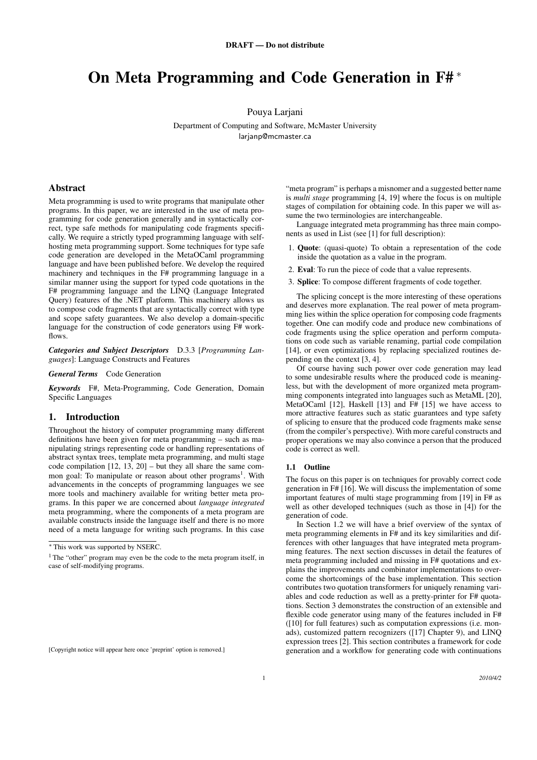# On Meta Programming and Code Generation in F# *<sup>∗</sup>*

Pouya Larjani

Department of Computing and Software, McMaster University larjanp@mcmaster.ca

# Abstract

Meta programming is used to write programs that manipulate other programs. In this paper, we are interested in the use of meta programming for code generation generally and in syntactically correct, type safe methods for manipulating code fragments specifically. We require a strictly typed programming language with selfhosting meta programming support. Some techniques for type safe code generation are developed in the MetaOCaml programming language and have been published before. We develop the required machinery and techniques in the F# programming language in a similar manner using the support for typed code quotations in the F# programming language and the LINQ (Language Integrated Query) features of the .NET platform. This machinery allows us to compose code fragments that are syntactically correct with type and scope safety guarantees. We also develop a domain-specific language for the construction of code generators using F# workflows.

*Categories and Subject Descriptors* D.3.3 [*Programming Languages*]: Language Constructs and Features

*General Terms* Code Generation

*Keywords* F#, Meta-Programming, Code Generation, Domain Specific Languages

## 1. Introduction

Throughout the history of computer programming many different definitions have been given for meta programming – such as manipulating strings representing code or handling representations of abstract syntax trees, template meta programming, and multi stage code compilation  $[12, 13, 20]$  – but they all share the same common goal: To manipulate or reason about other programs<sup>1</sup>. With advancements in the concepts of programming languages we see more tools and machinery available for writing better meta programs. In this paper we are concerned about *language integrated* meta programming, where the components of a meta program are available constructs inside the language itself and there is no more need of a meta language for writing such programs. In this case "meta program" is perhaps a misnomer and a suggested better name is *multi stage* programming [4, 19] where the focus is on multiple stages of compilation for obtaining code. In this paper we will assume the two terminologies are interchangeable.

Language integrated meta programming has three main components as used in List (see [1] for full description):

- 1. Quote: (quasi-quote) To obtain a representation of the code inside the quotation as a value in the program.
- 2. Eval: To run the piece of code that a value represents.
- 3. Splice: To compose different fragments of code together.

The splicing concept is the more interesting of these operations and deserves more explanation. The real power of meta programming lies within the splice operation for composing code fragments together. One can modify code and produce new combinations of code fragments using the splice operation and perform computations on code such as variable renaming, partial code compilation [14], or even optimizations by replacing specialized routines depending on the context [3, 4].

Of course having such power over code generation may lead to some undesirable results where the produced code is meaningless, but with the development of more organized meta programming components integrated into languages such as MetaML [20], MetaOCaml [12], Haskell [13] and F# [15] we have access to more attractive features such as static guarantees and type safety of splicing to ensure that the produced code fragments make sense (from the compiler's perspective). With more careful constructs and proper operations we may also convince a person that the produced code is correct as well.

#### 1.1 Outline

The focus on this paper is on techniques for provably correct code generation in F# [16]. We will discuss the implementation of some important features of multi stage programming from [19] in F# as well as other developed techniques (such as those in [4]) for the generation of code.

In Section 1.2 we will have a brief overview of the syntax of meta programming elements in F# and its key similarities and differences with other languages that have integrated meta programming features. The next section discusses in detail the features of meta programming included and missing in F# quotations and explains the improvements and combinator implementations to overcome the shortcomings of the base implementation. This section contributes two quotation transformers for uniquely renaming variables and code reduction as well as a pretty-printer for F# quotations. Section 3 demonstrates the construction of an extensible and flexible code generator using many of the features included in F# ([10] for full features) such as computation expressions (i.e. monads), customized pattern recognizers ([17] Chapter 9), and LINQ expression trees [2]. This section contributes a framework for code generation and a workflow for generating code with continuations

*<sup>∗</sup>* This work was supported by NSERC.

<sup>&</sup>lt;sup>1</sup> The "other" program may even be the code to the meta program itself, in case of self-modifying programs.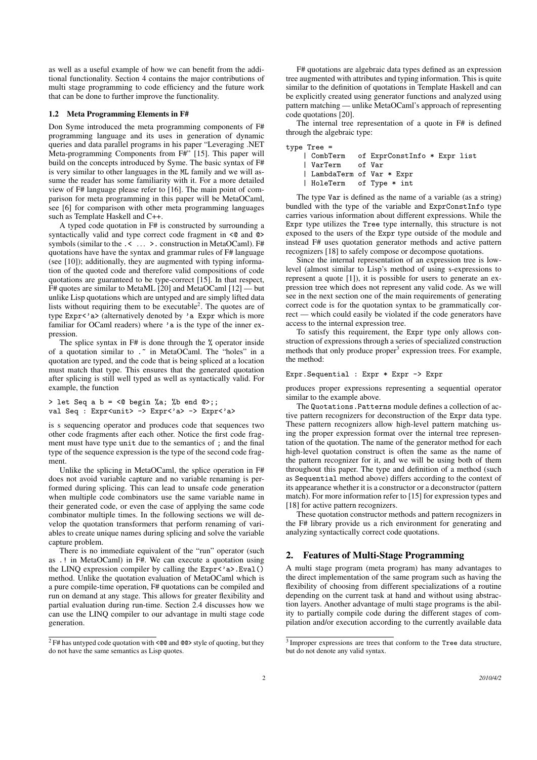as well as a useful example of how we can benefit from the additional functionality. Section 4 contains the major contributions of multi stage programming to code efficiency and the future work that can be done to further improve the functionality.

#### 1.2 Meta Programming Elements in F#

Don Syme introduced the meta programming components of F# programming language and its uses in generation of dynamic queries and data parallel programs in his paper "Leveraging .NET Meta-programming Components from F#" [15]. This paper will build on the concepts introduced by Syme. The basic syntax of F# is very similar to other languages in the ML family and we will assume the reader has some familiarity with it. For a more detailed view of F# language please refer to [16]. The main point of comparison for meta programming in this paper will be MetaOCaml, see [6] for comparison with other meta programming languages such as Template Haskell and C++.

A typed code quotation in F# is constructed by surrounding a syntactically valid and type correct code fragment in <0 and 0> symbols (similar to the .< ... > . construction in MetaOCaml). F# quotations have have the syntax and grammar rules of F# language (see [10]); additionally, they are augmented with typing information of the quoted code and therefore valid compositions of code quotations are guaranteed to be type-correct [15]. In that respect, F# quotes are similar to MetaML [20] and MetaOCaml [12] — but unlike Lisp quotations which are untyped and are simply lifted data lists without requiring them to be executable<sup>2</sup>. The quotes are of type Expr<'a> (alternatively denoted by 'a Expr which is more familiar for OCaml readers) where 'a is the type of the inner expression.

The splice syntax in F# is done through the % operator inside of a quotation similar to . in MetaOCaml. The "holes" in a quotation are typed, and the code that is being spliced at a location must match that type. This ensures that the generated quotation after splicing is still well typed as well as syntactically valid. For example, the function

> let Seq a  $b = \langle 0 \text{ begin } \%a; \text{ %}b \text{ end } 0 \rangle$ ;; val Seq : Expr<unit> -> Expr<'a> -> Expr<'a>

is s sequencing operator and produces code that sequences two other code fragments after each other. Notice the first code fragment must have type unit due to the semantics of ; and the final type of the sequence expression is the type of the second code fragment.

Unlike the splicing in MetaOCaml, the splice operation in F# does not avoid variable capture and no variable renaming is performed during splicing. This can lead to unsafe code generation when multiple code combinators use the same variable name in their generated code, or even the case of applying the same code combinator multiple times. In the following sections we will develop the quotation transformers that perform renaming of variables to create unique names during splicing and solve the variable capture problem.

There is no immediate equivalent of the "run" operator (such as .! in MetaOCaml) in F#. We can execute a quotation using the LINQ expression compiler by calling the Expr<'a>.Eval() method. Unlike the quotation evaluation of MetaOCaml which is a pure compile-time operation, F# quotations can be compiled and run on demand at any stage. This allows for greater flexibility and partial evaluation during run-time. Section 2.4 discusses how we can use the LINQ compiler to our advantage in multi stage code generation.

F# quotations are algebraic data types defined as an expression tree augmented with attributes and typing information. This is quite similar to the definition of quotations in Template Haskell and can be explicitly created using generator functions and analyzed using pattern matching — unlike MetaOCaml's approach of representing code quotations [20].

The internal tree representation of a quote in F# is defined through the algebraic type:

| $type Tree =$ |  |  |                                                                          |  |                                       |  |  |  |
|---------------|--|--|--------------------------------------------------------------------------|--|---------------------------------------|--|--|--|
|               |  |  |                                                                          |  |                                       |  |  |  |
|               |  |  |                                                                          |  |                                       |  |  |  |
|               |  |  |                                                                          |  |                                       |  |  |  |
|               |  |  |                                                                          |  |                                       |  |  |  |
|               |  |  | VarTerm of Var<br>  LambdaTerm of Var * Expr<br>  HoleTerm of Type * int |  | CombTerm of ExprConstInfo * Expr list |  |  |  |

The type Var is defined as the name of a variable (as a string) bundled with the type of the variable and ExprConstInfo type carries various information about different expressions. While the Expr type utilizes the Tree type internally, this structure is not exposed to the users of the Expr type outside of the module and instead F# uses quotation generator methods and active pattern recognizers [18] to safely compose or decompose quotations.

Since the internal representation of an expression tree is lowlevel (almost similar to Lisp's method of using s-expressions to represent a quote [1]), it is possible for users to generate an expression tree which does not represent any valid code. As we will see in the next section one of the main requirements of generating correct code is for the quotation syntax to be grammatically correct — which could easily be violated if the code generators have access to the internal expression tree.

To satisfy this requirement, the Expr type only allows construction of expressions through a series of specialized construction methods that only produce proper<sup>3</sup> expression trees. For example, the method:

#### Expr.Sequential : Expr \* Expr -> Expr

produces proper expressions representing a sequential operator similar to the example above.

The Quotations.Patterns module defines a collection of active pattern recognizers for deconstruction of the Expr data type. These pattern recognizers allow high-level pattern matching using the proper expression format over the internal tree representation of the quotation. The name of the generator method for each high-level quotation construct is often the same as the name of the pattern recognizer for it, and we will be using both of them throughout this paper. The type and definition of a method (such as Sequential method above) differs according to the context of its appearance whether it is a constructor or a deconstructor (pattern match). For more information refer to [15] for expression types and [18] for active pattern recognizers.

These quotation constructor methods and pattern recognizers in the F# library provide us a rich environment for generating and analyzing syntactically correct code quotations.

# 2. Features of Multi-Stage Programming

A multi stage program (meta program) has many advantages to the direct implementation of the same program such as having the flexibility of choosing from different specializations of a routine depending on the current task at hand and without using abstraction layers. Another advantage of multi stage programs is the ability to partially compile code during the different stages of compilation and/or execution according to the currently available data

 $2$  F# has untyped code quotation with <@@ and @@> style of quoting, but they do not have the same semantics as Lisp quotes.

<sup>3</sup> Improper expressions are trees that conform to the Tree data structure, but do not denote any valid syntax.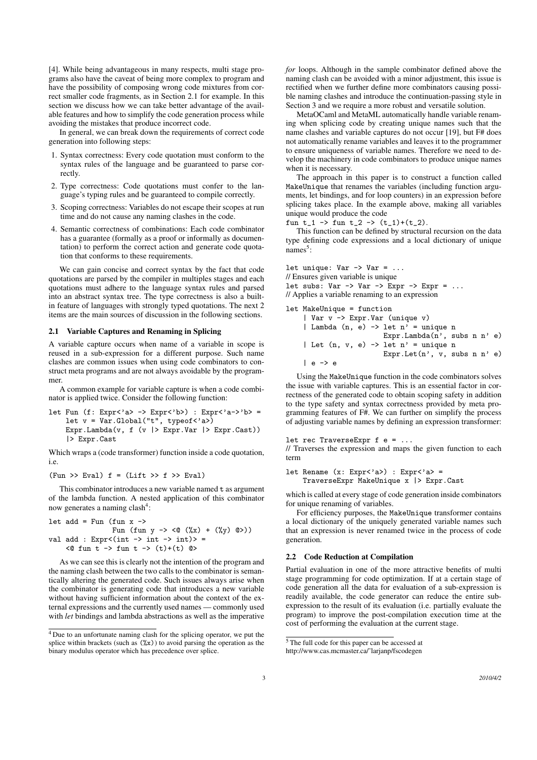[4]. While being advantageous in many respects, multi stage programs also have the caveat of being more complex to program and have the possibility of composing wrong code mixtures from correct smaller code fragments, as in Section 2.1 for example. In this section we discuss how we can take better advantage of the available features and how to simplify the code generation process while avoiding the mistakes that produce incorrect code.

In general, we can break down the requirements of correct code generation into following steps:

- 1. Syntax correctness: Every code quotation must conform to the syntax rules of the language and be guaranteed to parse correctly.
- 2. Type correctness: Code quotations must confer to the language's typing rules and be guaranteed to compile correctly.
- 3. Scoping correctness: Variables do not escape their scopes at run time and do not cause any naming clashes in the code.
- 4. Semantic correctness of combinations: Each code combinator has a guarantee (formally as a proof or informally as documentation) to perform the correct action and generate code quotation that conforms to these requirements.

We can gain concise and correct syntax by the fact that code quotations are parsed by the compiler in multiples stages and each quotations must adhere to the language syntax rules and parsed into an abstract syntax tree. The type correctness is also a builtin feature of languages with strongly typed quotations. The next 2 items are the main sources of discussion in the following sections.

## 2.1 Variable Captures and Renaming in Splicing

A variable capture occurs when name of a variable in scope is reused in a sub-expression for a different purpose. Such name clashes are common issues when using code combinators to construct meta programs and are not always avoidable by the programmer.

A common example for variable capture is when a code combinator is applied twice. Consider the following function:

let Fun (f: Expr<'a> -> Expr<'b>) : Expr<'a->'b> = let  $v = Var.Global("t", typeof < 'a>)$ Expr.Lambda(v, f (v  $|$ > Expr.Var  $|$ > Expr.Cast)) |> Expr.Cast

Which wraps a (code transformer) function inside a code quotation, i.e.

(Fun >> Eval)  $f = (Lift \gg f \gg Eval)$ 

This combinator introduces a new variable named t as argument of the lambda function. A nested application of this combinator now generates a naming clash<sup>4</sup>:

let add = Fun (fun  $x \rightarrow$ Fun (fun y -> <@ ( $\chi x$ ) + ( $\chi y$ ) @>)) val add :  $Expr<(int ->int ->int)$ <@ fun t -> fun t -> (t)+(t) @>

As we can see this is clearly not the intention of the program and the naming clash between the two calls to the combinator is semantically altering the generated code. Such issues always arise when the combinator is generating code that introduces a new variable without having sufficient information about the context of the external expressions and the currently used names — commonly used with *let* bindings and lambda abstractions as well as the imperative

*for* loops. Although in the sample combinator defined above the naming clash can be avoided with a minor adjustment, this issue is rectified when we further define more combinators causing possible naming clashes and introduce the continuation-passing style in Section 3 and we require a more robust and versatile solution.

MetaOCaml and MetaML automatically handle variable renaming when splicing code by creating unique names such that the name clashes and variable captures do not occur [19], but F# does not automatically rename variables and leaves it to the programmer to ensure uniqueness of variable names. Therefore we need to develop the machinery in code combinators to produce unique names when it is necessary.

The approach in this paper is to construct a function called MakeUnique that renames the variables (including function arguments, let bindings, and for loop counters) in an expression before splicing takes place. In the example above, making all variables unique would produce the code

fun t\_1 -> fun t\_2 ->  $(t_1)+(t_2)$ .

This function can be defined by structural recursion on the data type defining code expressions and a local dictionary of unique names<sup>5</sup>:

let unique:  $Var -> Var = ...$ // Ensures given variable is unique let subs: Var  $\rightarrow$  Var  $\rightarrow$  Expr  $\rightarrow$  Expr = ... // Applies a variable renaming to an expression

let MakeUnique = function

| Var $v \rightarrow \text{Expr.Var}$ (unique $v$ ) |                                 |  |
|---------------------------------------------------|---------------------------------|--|
| Lambda $(n, e)$ -> let $n'$ = unique n            |                                 |  |
|                                                   | Expr.Lambda $(n',$ subs n n' e) |  |
| Let $(n, v, e) \rightarrow$ let $n' =$ unique n   |                                 |  |
|                                                   | Expr.Let $(n', v, subs n n' e)$ |  |
| — I e -> e                                        |                                 |  |

Using the MakeUnique function in the code combinators solves the issue with variable captures. This is an essential factor in correctness of the generated code to obtain scoping safety in addition to the type safety and syntax correctness provided by meta programming features of F#. We can further on simplify the process of adjusting variable names by defining an expression transformer:

# let rec TraverseExpr  $f e = ...$

// Traverses the expression and maps the given function to each term

let Rename  $(x: Expr \langle 'a \rangle)$  : Expr $\langle 'a \rangle$  = TraverseExpr MakeUnique x |> Expr.Cast

which is called at every stage of code generation inside combinators for unique renaming of variables.

For efficiency purposes, the MakeUnique transformer contains a local dictionary of the uniquely generated variable names such that an expression is never renamed twice in the process of code generation.

# 2.2 Code Reduction at Compilation

Partial evaluation in one of the more attractive benefits of multi stage programming for code optimization. If at a certain stage of code generation all the data for evaluation of a sub-expression is readily available, the code generator can reduce the entire subexpression to the result of its evaluation (i.e. partially evaluate the program) to improve the post-compilation execution time at the cost of performing the evaluation at the current stage.

<sup>4</sup> Due to an unfortunate naming clash for the splicing operator, we put the splice within brackets (such as  $(\frac{9}{2}x)$ ) to avoid parsing the operation as the binary modulus operator which has precedence over splice.

 $5$ The full code for this paper can be accessed at

http://www.cas.mcmaster.ca/˜larjanp/fscodegen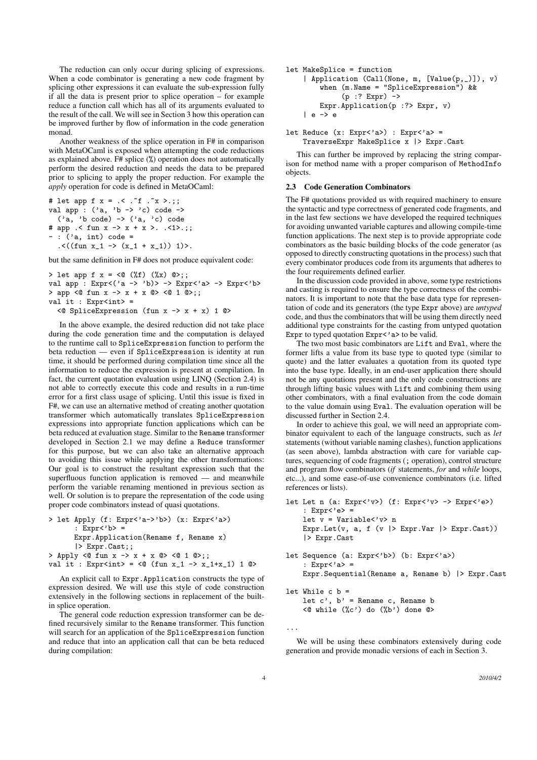The reduction can only occur during splicing of expressions. When a code combinator is generating a new code fragment by splicing other expressions it can evaluate the sub-expression fully if all the data is present prior to splice operation – for example reduce a function call which has all of its arguments evaluated to the result of the call. We will see in Section 3 how this operation can be improved further by flow of information in the code generation monad.

Another weakness of the splice operation in F# in comparison with MetaOCaml is exposed when attempting the code reductions as explained above. F# splice (%) operation does not automatically perform the desired reduction and needs the data to be prepared prior to splicing to apply the proper reduction. For example the *apply* operation for code is defined in MetaOCaml:

```
# let app f x = .< . "f . "x > .;;
val app : ('a, 'b -> 'c) code ->('a, 'b code) \rightarrow ('a, 'c) code# app .< fun x -> x + x >. .<1>.;;
 : ('a, int) code =.<((fun x_1 \rightarrow (x_1 + x_1)) 1)>.
```
but the same definition in F# does not produce equivalent code:

```
> let app f x = \langle 0 \rangle (x) \langle 0 \rangle (x) \langle 0 \rangle;
val app : Expr<('a -> 'b)> -> Expr<'a> -> Expr<'b>
> app <@ fun x -> x + x @> <@ 1 @>;;
val it : Expr<int> =
  \leq SpliceExpression (fun x -> x + x) 1 ©>
```
In the above example, the desired reduction did not take place during the code generation time and the computation is delayed to the runtime call to SpliceExpression function to perform the beta reduction — even if SpliceExpression is identity at run time, it should be performed during compilation time since all the information to reduce the expression is present at compilation. In fact, the current quotation evaluation using LINQ (Section 2.4) is not able to correctly execute this code and results in a run-time error for a first class usage of splicing. Until this issue is fixed in F#, we can use an alternative method of creating another quotation transformer which automatically translates SpliceExpression expressions into appropriate function applications which can be beta reduced at evaluation stage. Similar to the Rename transformer developed in Section 2.1 we may define a Reduce transformer for this purpose, but we can also take an alternative approach to avoiding this issue while applying the other transformations: Our goal is to construct the resultant expression such that the superfluous function application is removed — and meanwhile perform the variable renaming mentioned in previous section as well. Or solution is to prepare the representation of the code using proper code combinators instead of quasi quotations.

```
> let Apply (f: Expr<'a->'b>) (x: Expr<'a>)
       : Expr \langle 'b \rangle =Expr.Application(Rename f, Rename x)
       |> Expr.Cast;;
> Apply <@ fun x \to x + x \text{ } 0 <@ 1 @>;;
val it : Expr<int> = <@ (fun x_1 -> x_1+x_1) 1 @>
```
An explicit call to Expr.Application constructs the type of expression desired. We will use this style of code construction extensively in the following sections in replacement of the builtin splice operation.

The general code reduction expression transformer can be defined recursively similar to the Rename transformer. This function will search for an application of the SpliceExpression function and reduce that into an application call that can be beta reduced during compilation:

```
let MakeSplice = function
    | Application (Call(None, m, [Value(p,_)]), v)
        when (m.Name = "SpliceExpression") &&
              (p :? Expr) ->
        Expr.Application(p :?> Expr, v)
    | e - \rangle e
```

```
let Reduce (x: Expr \langle a \rangle) : Expr\langle a \rangle =
     TraverseExpr MakeSplice x |> Expr.Cast
```
This can further be improved by replacing the string comparison for method name with a proper comparison of MethodInfo objects.

## 2.3 Code Generation Combinators

The F# quotations provided us with required machinery to ensure the syntactic and type correctness of generated code fragments, and in the last few sections we have developed the required techniques for avoiding unwanted variable captures and allowing compile-time function applications. The next step is to provide appropriate code combinators as the basic building blocks of the code generator (as opposed to directly constructing quotations in the process) such that every combinator produces code from its arguments that adheres to the four requirements defined earlier.

In the discussion code provided in above, some type restrictions and casting is required to ensure the type correctness of the combinators. It is important to note that the base data type for representation of code and its generators (the type Expr above) are *untyped* code, and thus the combinators that will be using them directly need additional type constraints for the casting from untyped quotation Expr to typed quotation Expr<'a> to be valid.

The two most basic combinators are Lift and Eval, where the former lifts a value from its base type to quoted type (similar to quote) and the latter evaluates a quotation from its quoted type into the base type. Ideally, in an end-user application there should not be any quotations present and the only code constructions are through lifting basic values with Lift and combining them using other combinators, with a final evaluation from the code domain to the value domain using Eval. The evaluation operation will be discussed further in Section 2.4.

In order to achieve this goal, we will need an appropriate combinator equivalent to each of the language constructs, such as *let* statements (without variable naming clashes), function applications (as seen above), lambda abstraction with care for variable captures, sequencing of code fragments (; operation), control structure and program flow combinators (*if* statements, *for* and *while* loops, etc...), and some ease-of-use convenience combinators (i.e. lifted references or lists).

```
let Let n (a: Expr<'v> ) (f: Expr<'v> -> Expr<'e>)
    : Express' e > =let \bar{v} = Variable<'v> n
    Expr.Let(v, a, f (v |> Expr.Var |> Expr.Cast))
    |> Expr.Cast
let Sequence (a: Expr<'b>) (b: Expr<'a>)
    : Expr<'a> =
    Expr.Sequential(Rename a, Rename b) |> Expr.Cast
let While c b =
    let c', b' = Rename c, Rename b
```

```
\langle 0 \rangle while (\%c') do (\%b') done \circledcirc
```
We will be using these combinators extensively during code generation and provide monadic versions of each in Section 3.

...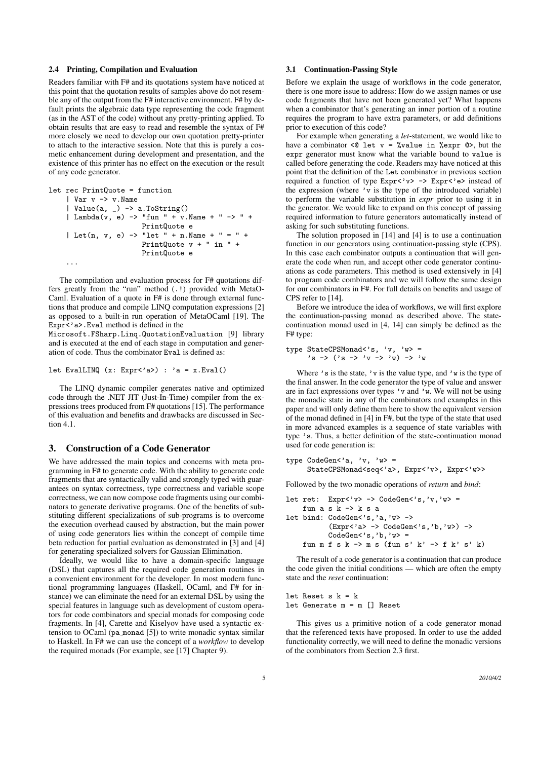#### 2.4 Printing, Compilation and Evaluation

Readers familiar with F# and its quotations system have noticed at this point that the quotation results of samples above do not resemble any of the output from the F# interactive environment. F# by default prints the algebraic data type representing the code fragment (as in the AST of the code) without any pretty-printing applied. To obtain results that are easy to read and resemble the syntax of F# more closely we need to develop our own quotation pretty-printer to attach to the interactive session. Note that this is purely a cosmetic enhancement during development and presentation, and the existence of this printer has no effect on the execution or the result of any code generator.

```
let rec PrintQuote = function
    | Var v -> v.Name
    | Value(a, _) -> a.ToString()
    | Lambda(v, e) -> "fun " + v.Name + " -> " +
                     PrintQuote e
    | Let(n, v, e) -> "let " + n.Name + " = " +
                      PrintQuote v + " in " +
                      PrintQuote e
    ...
```
The compilation and evaluation process for F# quotations differs greatly from the "run" method (.!) provided with MetaO-Caml. Evaluation of a quote in F# is done through external functions that produce and compile LINQ computation expressions [2] as opposed to a built-in run operation of MetaOCaml [19]. The Expr<'a>.Eval method is defined in the

Microsoft.FSharp.Linq.QuotationEvaluation [9] library and is executed at the end of each stage in computation and generation of code. Thus the combinator Eval is defined as:

let EvalLINQ (x: Expr<'a>) : 'a = x.Eval()

The LINQ dynamic compiler generates native and optimized code through the .NET JIT (Just-In-Time) compiler from the expressions trees produced from F# quotations [15]. The performance of this evaluation and benefits and drawbacks are discussed in Section 4.1.

## 3. Construction of a Code Generator

We have addressed the main topics and concerns with meta programming in F# to generate code. With the ability to generate code fragments that are syntactically valid and strongly typed with guarantees on syntax correctness, type correctness and variable scope correctness, we can now compose code fragments using our combinators to generate derivative programs. One of the benefits of substituting different specializations of sub-programs is to overcome the execution overhead caused by abstraction, but the main power of using code generators lies within the concept of compile time beta reduction for partial evaluation as demonstrated in [3] and [4] for generating specialized solvers for Gaussian Elimination.

Ideally, we would like to have a domain-specific language (DSL) that captures all the required code generation routines in a convenient environment for the developer. In most modern functional programming languages (Haskell, OCaml, and F# for instance) we can eliminate the need for an external DSL by using the special features in language such as development of custom operators for code combinators and special monads for composing code fragments. In [4], Carette and Kiselyov have used a syntactic extension to OCaml (pa monad [5]) to write monadic syntax similar to Haskell. In F# we can use the concept of a *workflow* to develop the required monads (For example, see [17] Chapter 9).

#### 3.1 Continuation-Passing Style

Before we explain the usage of workflows in the code generator, there is one more issue to address: How do we assign names or use code fragments that have not been generated yet? What happens when a combinator that's generating an inner portion of a routine requires the program to have extra parameters, or add definitions prior to execution of this code?

For example when generating a *let*-statement, we would like to have a combinator <@ let v = %value in %expr @>, but the expr generator must know what the variable bound to value is called before generating the code. Readers may have noticed at this point that the definition of the Let combinator in previous section required a function of type  $Expr \lt' v$  ->  $Expr \lt' e$  instead of the expression (where 'v is the type of the introduced variable) to perform the variable substitution in *expr* prior to using it in the generator. We would like to expand on this concept of passing required information to future generators automatically instead of asking for such substituting functions.

The solution proposed in [14] and [4] is to use a continuation function in our generators using continuation-passing style (CPS). In this case each combinator outputs a continuation that will generate the code when run, and accept other code generator continuations as code parameters. This method is used extensively in [4] to program code combinators and we will follow the same design for our combinators in F#. For full details on benefits and usage of CPS refer to [14].

Before we introduce the idea of workflows, we will first explore the continuation-passing monad as described above. The statecontinuation monad used in [4, 14] can simply be defined as the F# type:

type StateCPSMonad<'s, 'v, 'w> = 's -> ('s -> 'v -> 'w) -> 'w

Where  $\prime$  s is the state,  $\prime$  v is the value type, and  $\prime$  w is the type of the final answer. In the code generator the type of value and answer are in fact expressions over types 'v and 'w. We will not be using the monadic state in any of the combinators and examples in this paper and will only define them here to show the equivalent version of the monad defined in [4] in F#, but the type of the state that used in more advanced examples is a sequence of state variables with type 's. Thus, a better definition of the state-continuation monad used for code generation is:

```
type CodeGen\leq a, 'v, 'w> =
    StateCPSMonad<seq<'a>, Expr<'v>, Expr<'w>>
```
Followed by the two monadic operations of *return* and *bind*:

```
let ret: Expr < 'v > -> CodeGen < 's, 'v, 'w > -fun a \succeq k \rightarrow k \succeq alet bind: CodeGen<'s,'a,'w> ->
            (Expr<'a> -> CodeGen<'s,'b,'w>) ->
            CodeGen<'s,'b,'w> =
    fun m f s k \rightarrow m s (fun s' k' \rightarrow f k' s' k)
```
The result of a code generator is a continuation that can produce the code given the initial conditions — which are often the empty state and the *reset* continuation:

let Reset s  $k = k$ let Generate m = m [] Reset

This gives us a primitive notion of a code generator monad that the referenced texts have proposed. In order to use the added functionality correctly, we will need to define the monadic versions of the combinators from Section 2.3 first.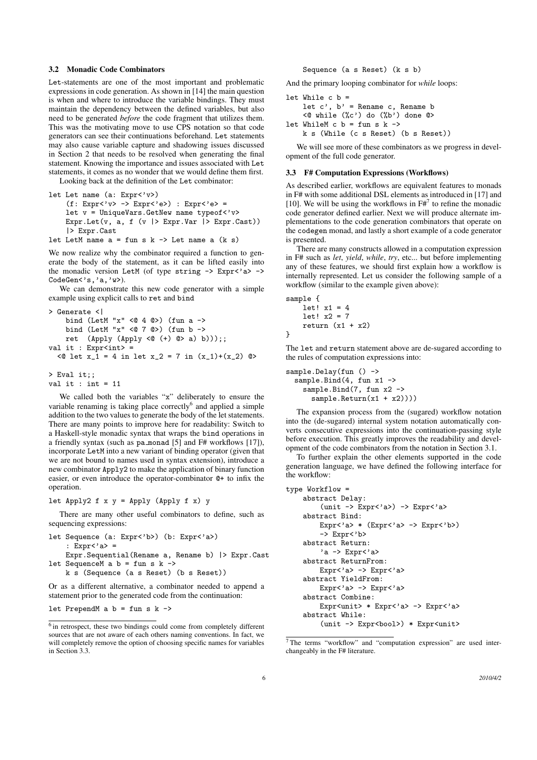#### 3.2 Monadic Code Combinators

Let-statements are one of the most important and problematic expressions in code generation. As shown in [14] the main question is when and where to introduce the variable bindings. They must maintain the dependency between the defined variables, but also need to be generated *before* the code fragment that utilizes them. This was the motivating move to use CPS notation so that code generators can see their continuations beforehand. Let statements may also cause variable capture and shadowing issues discussed in Section 2 that needs to be resolved when generating the final statement. Knowing the importance and issues associated with Let statements, it comes as no wonder that we would define them first.

Looking back at the definition of the Let combinator:

```
let Let name (a: Expr<'v>)
    (f: Expr<'v> -> Expr<'e>) : Expr<'e> =
    let v = UniqueVars.GetNew name typeof<'v>
    Expr.Let(v, a, f (v |> Expr.Var |> Expr.Cast))
    |> Expr.Cast
let LetM name a = fun s k \rightarrow Let name a (k s)
```
We now realize why the combinator required a function to generate the body of the statement, as it can be lifted easily into the monadic version LetM (of type string  $\rightarrow$  Expr<'a> -> CodeGen<'s,'a,'w>).

We can demonstrate this new code generator with a simple example using explicit calls to ret and bind

```
> Generate <|
    bind (LetM "x" <@4 @>) (fun a ->
    bind (LetM "x" <@ 7  @) (fun b ->
    ret (Apply (Apply <@ (+) @> a) b)));;
val it : \text{Expr}\text{-}\text{int} =
  <@ let x_1 = 4 in let x_2 = 7 in (x_1)+(x_2) @>
> Eval it;;
```

```
val it : int = 11
```
We called both the variables "x" deliberately to ensure the variable renaming is taking place correctly $<sup>6</sup>$  and applied a simple</sup> addition to the two values to generate the body of the let statements. There are many points to improve here for readability: Switch to a Haskell-style monadic syntax that wraps the bind operations in a friendly syntax (such as pa monad [5] and F# workflows [17]), incorporate LetM into a new variant of binding operator (given that we are not bound to names used in syntax extension), introduce a new combinator Apply2 to make the application of binary function easier, or even introduce the operator-combinator @+ to infix the operation.

let Apply2  $f \times y =$  Apply (Apply  $f \times y$ )

There are many other useful combinators to define, such as sequencing expressions:

```
let Sequence (a: Expr<'b>) (b: Expr<'a>)
    : Expr<'a> =
    Expr.Sequential(Rename a, Rename b) |> Expr.Cast
```

```
let SequenceM a b = fun s k ->
    k s (Sequence (a s Reset) (b s Reset))
```
Or as a different alternative, a combinator needed to append a statement prior to the generated code from the continuation:

let PrependM a  $b = fun s k$  ->

Sequence (a s Reset) (k s b)

And the primary looping combinator for *while* loops:

```
let While c b =let c', b' = Rename c, Rename b
     \langle \mathbb{Q} while (\mathcal{C}) do (\mathcal{C}) done \mathbb{Q}let WhileM c b = fun s k ->
    k s (While (c s Reset) (b s Reset))
```
We will see more of these combinators as we progress in development of the full code generator.

### 3.3 F# Computation Expressions (Workflows)

As described earlier, workflows are equivalent features to monads in F# with some additional DSL elements as introduced in [17] and [10]. We will be using the workflows in  $F#^7$  to refine the monadic code generator defined earlier. Next we will produce alternate implementations to the code generation combinators that operate on the codegen monad, and lastly a short example of a code generator is presented.

There are many constructs allowed in a computation expression in F# such as *let*, *yield*, *while*, *try*, etc... but before implementing any of these features, we should first explain how a workflow is internally represented. Let us consider the following sample of a workflow (similar to the example given above):

```
sample {
   let! x1 = 4let! x2 = 7return (x1 + x2)
```
}

The let and return statement above are de-sugared according to the rules of computation expressions into:

```
sample.Delay(fun () ->
 sample.Bind(4, fun x1 ->
   sample.Bind(7, fun x2 ->
     sample(Retur(x1 + x2)))
```
The expansion process from the (sugared) workflow notation into the (de-sugared) internal system notation automatically converts consecutive expressions into the continuation-passing style before execution. This greatly improves the readability and development of the code combinators from the notation in Section 3.1.

To further explain the other elements supported in the code generation language, we have defined the following interface for the workflow:

```
type Workflow =
   abstract Delay:
        (unit -> Expr<'a>) -> Expr<'a>
    abstract Bind:
       Expr<'a> * (Expr<'a> -> Expr<'b>)
        -> Expr<'b>
   abstract Return:
        'a -> Expr<'a>
   abstract ReturnFrom:
       Expr<'a> -> Expr<'a>
   abstract YieldFrom:
       Expr<'a> -> Expr<'a>
    abstract Combine:
       Expr<unit> * Expr<'a> -> Expr<'a>
   abstract While:
        (unit -> Expr<br/>bool>) * Expr<unit>
```
<sup>&</sup>lt;sup>6</sup> in retrospect, these two bindings could come from completely different sources that are not aware of each others naming conventions. In fact, we will completely remove the option of choosing specific names for variables in Section 3.3.

<sup>7</sup> The terms "workflow" and "computation expression" are used interchangeably in the F# literature.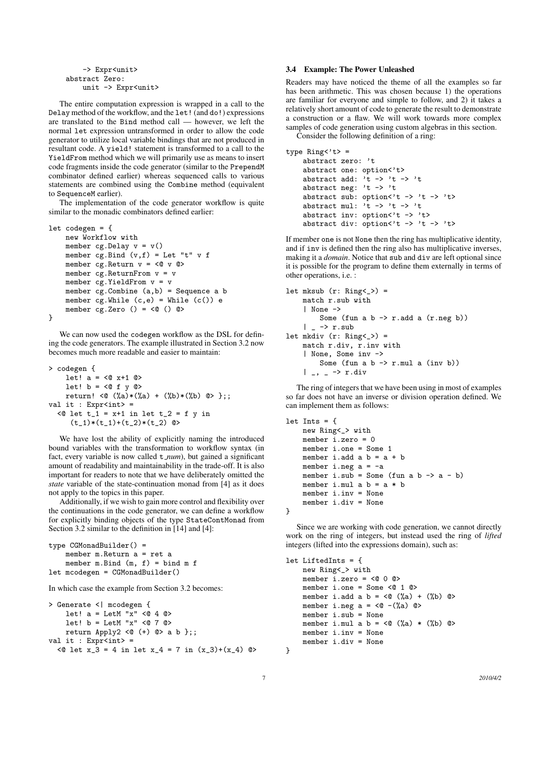```
-> Expr<unit>
abstract Zero:
    unit -> Expr<unit>
```
The entire computation expression is wrapped in a call to the Delay method of the workflow, and the let! (and do!) expressions are translated to the Bind method call — however, we left the normal let expression untransformed in order to allow the code generator to utilize local variable bindings that are not produced in resultant code. A yield! statement is transformed to a call to the YieldFrom method which we will primarily use as means to insert code fragments inside the code generator (similar to the PrependM combinator defined earlier) whereas sequenced calls to various statements are combined using the Combine method (equivalent to SequenceM earlier).

The implementation of the code generator workflow is quite similar to the monadic combinators defined earlier:

```
let codegen = {
    new Workflow with
    member cg.Delay v = v()
    member cg. Bind (v, f) = Let "t" v fmember cg. Return v = \langle 0 \ v \ \n0 \ranglemember cg.ReturnFrom v = vmember cg.YieldFrom v = v
    member cg.Combine (a,b) = Sequence a b
    member cg.While (c,e) = While (c()) emember cg.Zero () = <0 () @>}
```
We can now used the codegen workflow as the DSL for defining the code generators. The example illustrated in Section 3.2 now becomes much more readable and easier to maintain:

```
> codegen {
     let! a = \langle 0 x + 1 0 \ranglelet! b = \langle 0 \text{ f } y \text{ } 0 \ranglereturn! <@ (\%a)*(\%a) + (\%b)*(\%b) @> };;
val it : Expr<int> =
  \leq 0 let t_1 = x+1 in let t_2 = f y in
       (t_1)*(t_1)+(t_2)*(t_2) @>
```
We have lost the ability of explicitly naming the introduced bound variables with the transformation to workflow syntax (in fact, every variable is now called t *num*), but gained a significant amount of readability and maintainability in the trade-off. It is also important for readers to note that we have deliberately omitted the *state* variable of the state-continuation monad from [4] as it does not apply to the topics in this paper.

Additionally, if we wish to gain more control and flexibility over the continuations in the code generator, we can define a workflow for explicitly binding objects of the type StateContMonad from Section 3.2 similar to the definition in [14] and [4]:

```
type CGMonadBuilder() =
    member m.Return a = ret a
    member m.Bind (m, f) = bind m f
let mcodegen = CGMonadBuilder()
```
In which case the example from Section 3.2 becomes:

```
> Generate <| mcodegen {
    let! a = LetM''x'' < 0 4 0let! b = LetM''x'' \leq 7 Qreturn Apply2 <(+) @>a b;;
val it : Expr<sub>int</sub> =
  <@ let x_3 = 4 in let x_4 = 7 in (x_3)+(x_4) @>
```
## 3.4 Example: The Power Unleashed

Readers may have noticed the theme of all the examples so far has been arithmetic. This was chosen because 1) the operations are familiar for everyone and simple to follow, and 2) it takes a relatively short amount of code to generate the result to demonstrate a construction or a flaw. We will work towards more complex samples of code generation using custom algebras in this section.

Consider the following definition of a ring:

```
type Ring<sup>'t</sup> =
    abstract zero: 't
    abstract one: option<'t>
    abstract add: 't -> 't -> 'tabstract neg: 't -> 't
    abstract sub: option<'t -> 't -> 't>
    abstract mul: \overrightarrow{t} -> \overrightarrow{t} -> \overrightarrow{t}abstract inv: option<'t -> 't>
    abstract div: option<'t -> 't -> 't>
```
If member one is not None then the ring has multiplicative identity, and if inv is defined then the ring also has multiplicative inverses, making it a *domain*. Notice that sub and div are left optional since it is possible for the program to define them externally in terms of other operations, i.e. :

```
let mksub (r: Ring <) =
    match r.sub with
    | None ->
         Some (fun a b \rightarrow r.add a (r.neg b))
    | \_ -> r.sub
let mkdiv (r: Ring<sub>-</sub>) =
    match r.div, r.inv with
    | None, Some inv ->
         Some (fun a b \rightarrow r.mul a (inv b))
    | _, _ -> r.div
```
The ring of integers that we have been using in most of examples so far does not have an inverse or division operation defined. We can implement them as follows:

```
let Ints = {
    new Ring<_> with
    member i.zero = 0
    member i.one = Some 1
    member i.add a b = a + bmember i.neg a = -amember i.sub = Some (fun a b \rightarrow a - b)
    member i.mul a b = a * bmember i.inv = None
    member i.div = None
}
```
Since we are working with code generation, we cannot directly work on the ring of integers, but instead used the ring of *lifted* integers (lifted into the expressions domain), such as:

```
let LiftedInts = {
    new Ring<_> with
    member i.zero = <@ 0 @>
     member i.one = Some <@ 1 @>
    member i.add a b = \langle 0 \rangle (%a) + (%b) 0>
    member i.neg a = \langle 0 - (\% a) 0 \ranglemember i.sub = None
    member i.mul a b = \langle 0 \rangle (%a) * (%b) 0>
     member i.inv = None
    member i.div = None
}
```
7 *2010/4/2*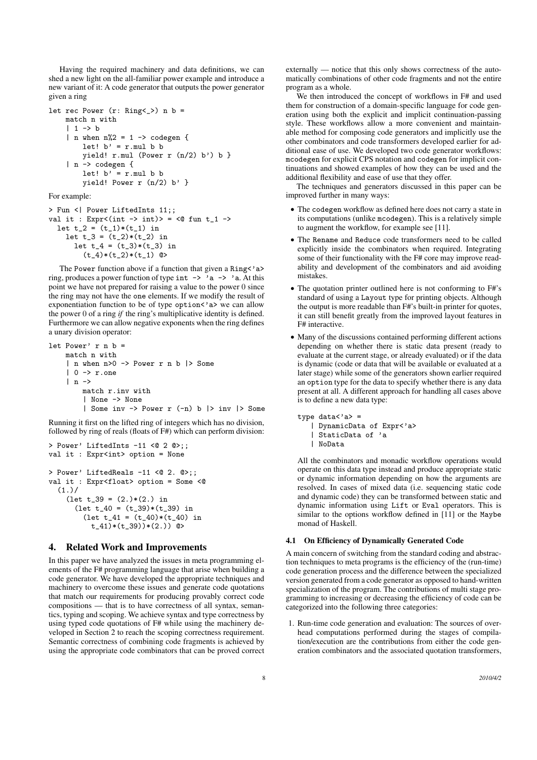Having the required machinery and data definitions, we can shed a new light on the all-familiar power example and introduce a new variant of it: A code generator that outputs the power generator given a ring

```
let rec Power (r: Ring<sub>-</sub>) n b =
    match n with
    | 1 - \rangle b| n when n\rlap{.}2 = 1 -> codegen {
         let! b' = r. mul b b
         vield! r.mul (Power r (n/2) b') b }
    | n -> codegen {
         let! b' = r.mul b byield! Power r (n/2) b' }
```
For example:

```
> Fun <| Power LiftedInts 11;;
val it : Expr<(int -> int)> = <@ fun t_1 ->
 let t_2 = (t_1)*(t_1) in
    let t_3 = (t_2)*(t_2) in
     let t 4 = (t_3)*(t_3) in
        (t_4)*(t_2)*(t_1) ©>
```
The Power function above if a function that given a Ring<'a> ring, produces a power function of type int  $\rightarrow$  'a  $\rightarrow$  'a. At this point we have not prepared for raising a value to the power 0 since the ring may not have the one elements. If we modify the result of exponentiation function to be of type option<'a> we can allow the power 0 of a ring *if* the ring's multiplicative identity is defined. Furthermore we can allow negative exponents when the ring defines a unary division operator:

```
let Power' r n b =
   match n with
    | n when n>0 -> Power r n b |> Some
    | 0 -> r.one
    | n ->
        match r.inv with
        | None -> None
        | Some inv -> Power r (-n) b |> inv |> Some
```
Running it first on the lifted ring of integers which has no division, followed by ring of reals (floats of F#) which can perform division:

```
> Power' LiftedInts -11 <@ 2 @>;;
val it : Expr<int> option = None
> Power' LiftedReals -11 <0 2. 0>;;
val it : Expr<float> option = Some <@
  (1.)/(\text{let } t_39 = (2.)*(2.) in
       (\text{let } t_40 = (t_39)*(t_39) in
         (\text{let } t_41 = (t_40)*(t_40) in
           t_{-}41)*(t_{-}39))*(2.) ©>
```
# 4. Related Work and Improvements

In this paper we have analyzed the issues in meta programming elements of the F# programming language that arise when building a code generator. We have developed the appropriate techniques and machinery to overcome these issues and generate code quotations that match our requirements for producing provably correct code compositions — that is to have correctness of all syntax, semantics, typing and scoping. We achieve syntax and type correctness by using typed code quotations of F# while using the machinery developed in Section 2 to reach the scoping correctness requirement. Semantic correctness of combining code fragments is achieved by using the appropriate code combinators that can be proved correct externally — notice that this only shows correctness of the automatically combinations of other code fragments and not the entire program as a whole.

We then introduced the concept of workflows in F# and used them for construction of a domain-specific language for code generation using both the explicit and implicit continuation-passing style. These workflows allow a more convenient and maintainable method for composing code generators and implicitly use the other combinators and code transformers developed earlier for additional ease of use. We developed two code generator workflows: mcodegen for explicit CPS notation and codegen for implicit continuations and showed examples of how they can be used and the additional flexibility and ease of use that they offer.

The techniques and generators discussed in this paper can be improved further in many ways:

- *•* The codegen workflow as defined here does not carry a state in its computations (unlike mcodegen). This is a relatively simple to augment the workflow, for example see [11].
- *•* The Rename and Reduce code transformers need to be called explicitly inside the combinators when required. Integrating some of their functionality with the F# core may improve readability and development of the combinators and aid avoiding mistakes.
- The quotation printer outlined here is not conforming to F#'s standard of using a Layout type for printing objects. Although the output is more readable than F#'s built-in printer for quotes, it can still benefit greatly from the improved layout features in F# interactive.
- *•* Many of the discussions contained performing different actions depending on whether there is static data present (ready to evaluate at the current stage, or already evaluated) or if the data is dynamic (code or data that will be available or evaluated at a later stage) while some of the generators shown earlier required an option type for the data to specify whether there is any data present at all. A different approach for handling all cases above is to define a new data type:

```
type data < 'a> =| DynamicData of Expr<'a>
   | StaticData of 'a
   | NoData
```
All the combinators and monadic workflow operations would operate on this data type instead and produce appropriate static or dynamic information depending on how the arguments are resolved. In cases of mixed data (i.e. sequencing static code and dynamic code) they can be transformed between static and dynamic information using Lift or Eval operators. This is similar to the options workflow defined in [11] or the Maybe monad of Haskell.

#### 4.1 On Efficiency of Dynamically Generated Code

A main concern of switching from the standard coding and abstraction techniques to meta programs is the efficiency of the (run-time) code generation process and the difference between the specialized version generated from a code generator as opposed to hand-written specialization of the program. The contributions of multi stage programming to increasing or decreasing the efficiency of code can be categorized into the following three categories:

1. Run-time code generation and evaluation: The sources of overhead computations performed during the stages of compilation/execution are the contributions from either the code generation combinators and the associated quotation transformers,